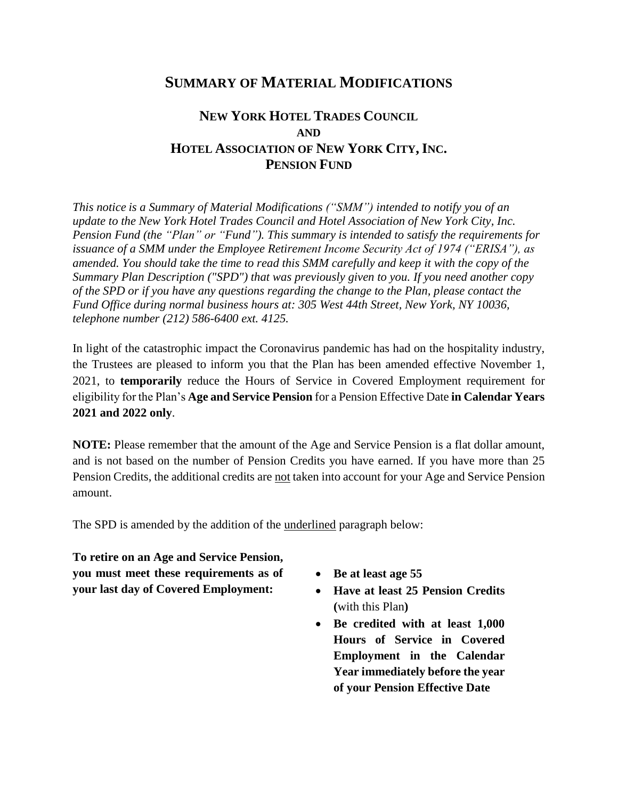## **SUMMARY OF MATERIAL MODIFICATIONS**

## **NEW YORK HOTEL TRADES COUNCIL AND HOTEL ASSOCIATION OF NEW YORK CITY,INC. PENSION FUND**

*This notice is a Summary of Material Modifications ("SMM") intended to notify you of an update to the New York Hotel Trades Council and Hotel Association of New York City, Inc. Pension Fund (the "Plan" or "Fund"). This summary is intended to satisfy the requirements for issuance of a SMM under the Employee Retirement Income Security Act of 1974 ("ERISA"), as amended. You should take the time to read this SMM carefully and keep it with the copy of the Summary Plan Description ("SPD") that was previously given to you. If you need another copy of the SPD or if you have any questions regarding the change to the Plan, please contact the Fund Office during normal business hours at: 305 West 44th Street, New York, NY 10036, telephone number (212) 586-6400 ext. 4125.* 

In light of the catastrophic impact the Coronavirus pandemic has had on the hospitality industry, the Trustees are pleased to inform you that the Plan has been amended effective November 1, 2021, to **temporarily** reduce the Hours of Service in Covered Employment requirement for eligibility for the Plan's **Age and Service Pension** for a Pension Effective Date **in Calendar Years 2021 and 2022 only**.

**NOTE:** Please remember that the amount of the Age and Service Pension is a flat dollar amount, and is not based on the number of Pension Credits you have earned. If you have more than 25 Pension Credits, the additional credits are not taken into account for your Age and Service Pension amount.

The SPD is amended by the addition of the underlined paragraph below:

**To retire on an Age and Service Pension, you must meet these requirements as of your last day of Covered Employment:** 

- **Be at least age 55**
- **Have at least 25 Pension Credits (**with this Plan**)**
- **Be credited with at least 1,000 Hours of Service in Covered Employment in the Calendar Year immediately before the year of your Pension Effective Date**